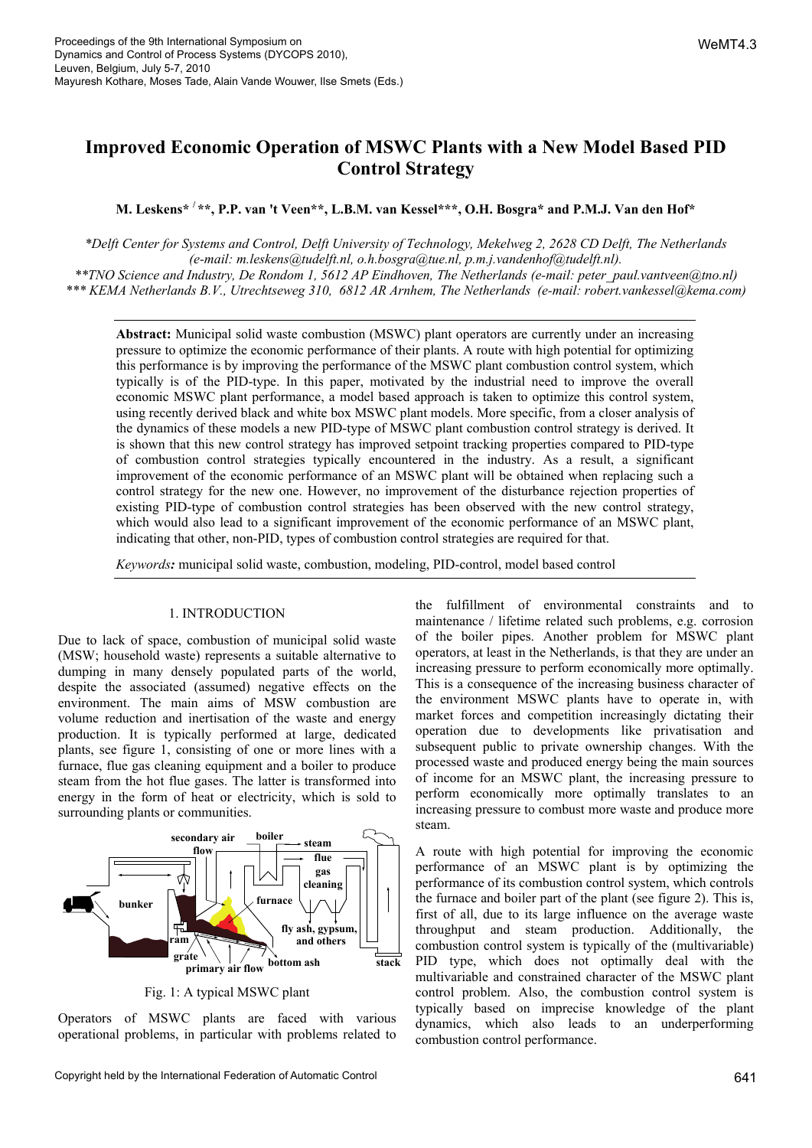# **Improved Economic Operation of MSWC Plants with a New Model Based PID Control Strategy**

**M. Leskens\* / \*\*, P.P. van 't Veen\*\*, L.B.M. van Kessel\*\*\*, O.H. Bosgra\* and P.M.J. Van den Hof\*** 

*\*Delft Center for Systems and Control, Delft University of Technology, Mekelweg 2, 2628 CD Delft, The Netherlands (e-mail: m.leskens@tudelft.nl, o.h.bosgra@tue.nl, p.m.j.vandenhof@tudelft.nl). \*\*TNO Science and Industry, De Rondom 1, 5612 AP Eindhoven, The Netherlands (e-mail: peter\_paul.vantveen@tno.nl) \*\*\* KEMA Netherlands B.V., Utrechtseweg 310, 6812 AR Arnhem, The Netherlands (e-mail: robert.vankessel@kema.com)* 

**Abstract:** Municipal solid waste combustion (MSWC) plant operators are currently under an increasing pressure to optimize the economic performance of their plants. A route with high potential for optimizing this performance is by improving the performance of the MSWC plant combustion control system, which typically is of the PID-type. In this paper, motivated by the industrial need to improve the overall economic MSWC plant performance, a model based approach is taken to optimize this control system, using recently derived black and white box MSWC plant models. More specific, from a closer analysis of the dynamics of these models a new PID-type of MSWC plant combustion control strategy is derived. It is shown that this new control strategy has improved setpoint tracking properties compared to PID-type of combustion control strategies typically encountered in the industry. As a result, a significant improvement of the economic performance of an MSWC plant will be obtained when replacing such a control strategy for the new one. However, no improvement of the disturbance rejection properties of existing PID-type of combustion control strategies has been observed with the new control strategy, which would also lead to a significant improvement of the economic performance of an MSWC plant, indicating that other, non-PID, types of combustion control strategies are required for that.

*Keywords:* municipal solid waste, combustion, modeling, PID-control, model based control

## 1. INTRODUCTION

Due to lack of space, combustion of municipal solid waste (MSW; household waste) represents a suitable alternative to dumping in many densely populated parts of the world, despite the associated (assumed) negative effects on the environment. The main aims of MSW combustion are volume reduction and inertisation of the waste and energy production. It is typically performed at large, dedicated plants, see figure 1, consisting of one or more lines with a furnace, flue gas cleaning equipment and a boiler to produce steam from the hot flue gases. The latter is transformed into energy in the form of heat or electricity, which is sold to surrounding plants or communities.



Fig. 1: A typical MSWC plant

Operators of MSWC plants are faced with various operational problems, in particular with problems related to the fulfillment of environmental constraints and to maintenance / lifetime related such problems, e.g. corrosion of the boiler pipes. Another problem for MSWC plant operators, at least in the Netherlands, is that they are under an increasing pressure to perform economically more optimally. This is a consequence of the increasing business character of the environment MSWC plants have to operate in, with market forces and competition increasingly dictating their operation due to developments like privatisation and subsequent public to private ownership changes. With the processed waste and produced energy being the main sources of income for an MSWC plant, the increasing pressure to perform economically more optimally translates to an increasing pressure to combust more waste and produce more steam.

A route with high potential for improving the economic performance of an MSWC plant is by optimizing the performance of its combustion control system, which controls the furnace and boiler part of the plant (see figure 2). This is, first of all, due to its large influence on the average waste throughput and steam production. Additionally, the combustion control system is typically of the (multivariable) PID type, which does not optimally deal with the multivariable and constrained character of the MSWC plant control problem. Also, the combustion control system is typically based on imprecise knowledge of the plant dynamics, which also leads to an underperforming combustion control performance.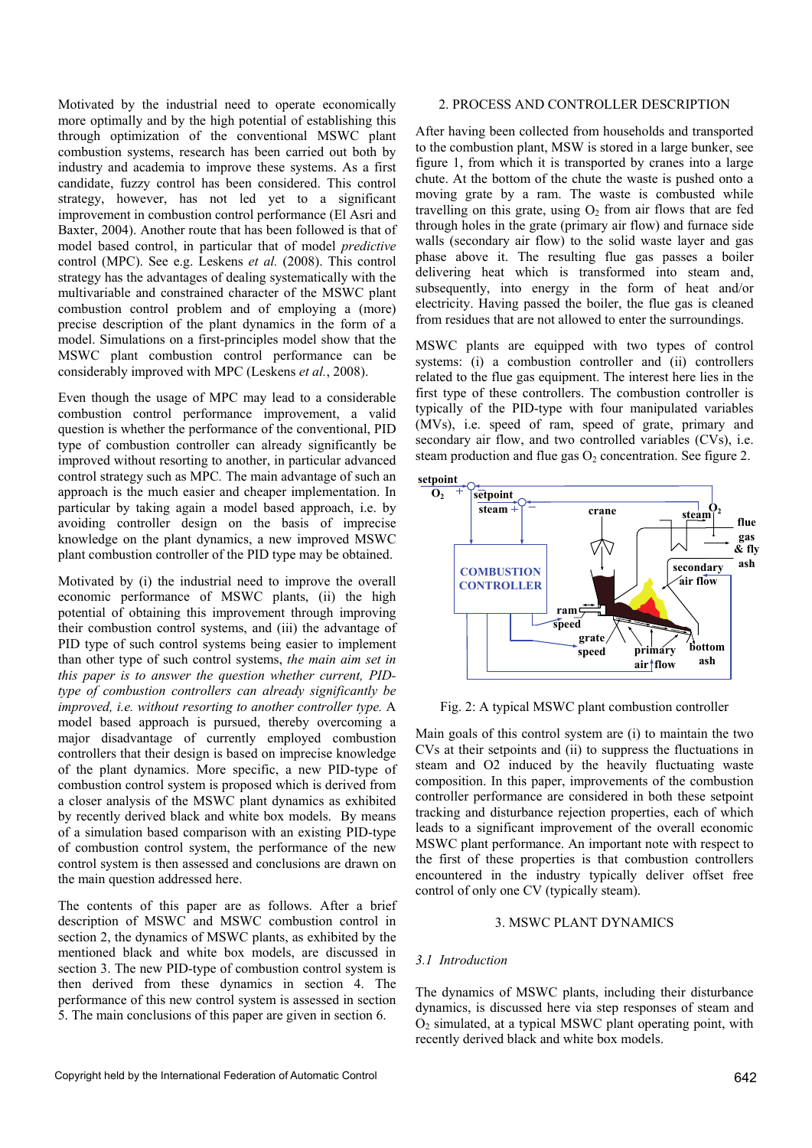Motivated by the industrial need to operate economically more optimally and by the high potential of establishing this through optimization of the conventional MSWC plant combustion systems, research has been carried out both by industry and academia to improve these systems. As a first candidate, fuzzy control has been considered. This control strategy, however, has not led yet to a significant improvement in combustion control performance (El Asri and Baxter, 2004). Another route that has been followed is that of model based control, in particular that of model *predictive*  control (MPC). See e.g. Leskens *et al.* (2008). This control strategy has the advantages of dealing systematically with the multivariable and constrained character of the MSWC plant combustion control problem and of employing a (more) precise description of the plant dynamics in the form of a model. Simulations on a first-principles model show that the MSWC plant combustion control performance can be considerably improved with MPC (Leskens *et al.*, 2008).

Even though the usage of MPC may lead to a considerable combustion control performance improvement, a valid question is whether the performance of the conventional, PID type of combustion controller can already significantly be improved without resorting to another, in particular advanced control strategy such as MPC*.* The main advantage of such an approach is the much easier and cheaper implementation. In particular by taking again a model based approach, i.e. by avoiding controller design on the basis of imprecise knowledge on the plant dynamics, a new improved MSWC plant combustion controller of the PID type may be obtained.

Motivated by (i) the industrial need to improve the overall economic performance of MSWC plants, (ii) the high potential of obtaining this improvement through improving their combustion control systems, and (iii) the advantage of PID type of such control systems being easier to implement than other type of such control systems, *the main aim set in this paper is to answer the question whether current, PIDtype of combustion controllers can already significantly be improved, i.e. without resorting to another controller type.* A model based approach is pursued, thereby overcoming a major disadvantage of currently employed combustion controllers that their design is based on imprecise knowledge of the plant dynamics. More specific, a new PID-type of combustion control system is proposed which is derived from a closer analysis of the MSWC plant dynamics as exhibited by recently derived black and white box models. By means of a simulation based comparison with an existing PID-type of combustion control system, the performance of the new control system is then assessed and conclusions are drawn on the main question addressed here.

The contents of this paper are as follows. After a brief description of MSWC and MSWC combustion control in section 2, the dynamics of MSWC plants, as exhibited by the mentioned black and white box models, are discussed in section 3. The new PID-type of combustion control system is then derived from these dynamics in section 4. The performance of this new control system is assessed in section 5. The main conclusions of this paper are given in section 6.

# 2. PROCESS AND CONTROLLER DESCRIPTION

After having been collected from households and transported to the combustion plant, MSW is stored in a large bunker, see figure 1, from which it is transported by cranes into a large chute. At the bottom of the chute the waste is pushed onto a moving grate by a ram. The waste is combusted while travelling on this grate, using  $O<sub>2</sub>$  from air flows that are fed through holes in the grate (primary air flow) and furnace side walls (secondary air flow) to the solid waste layer and gas phase above it. The resulting flue gas passes a boiler delivering heat which is transformed into steam and, subsequently, into energy in the form of heat and/or electricity. Having passed the boiler, the flue gas is cleaned from residues that are not allowed to enter the surroundings.

MSWC plants are equipped with two types of control systems: (i) a combustion controller and (ii) controllers related to the flue gas equipment. The interest here lies in the first type of these controllers. The combustion controller is typically of the PID-type with four manipulated variables (MVs), i.e. speed of ram, speed of grate, primary and secondary air flow, and two controlled variables (CVs), i.e. steam production and flue gas  $O_2$  concentration. See figure 2.



Fig. 2: A typical MSWC plant combustion controller

Main goals of this control system are (i) to maintain the two CVs at their setpoints and (ii) to suppress the fluctuations in steam and O2 induced by the heavily fluctuating waste composition. In this paper, improvements of the combustion controller performance are considered in both these setpoint tracking and disturbance rejection properties, each of which leads to a significant improvement of the overall economic MSWC plant performance. An important note with respect to the first of these properties is that combustion controllers encountered in the industry typically deliver offset free control of only one CV (typically steam).

## 3. MSWC PLANT DYNAMICS

## *3.1 Introduction*

The dynamics of MSWC plants, including their disturbance dynamics, is discussed here via step responses of steam and  $O<sub>2</sub>$  simulated, at a typical MSWC plant operating point, with recently derived black and white box models.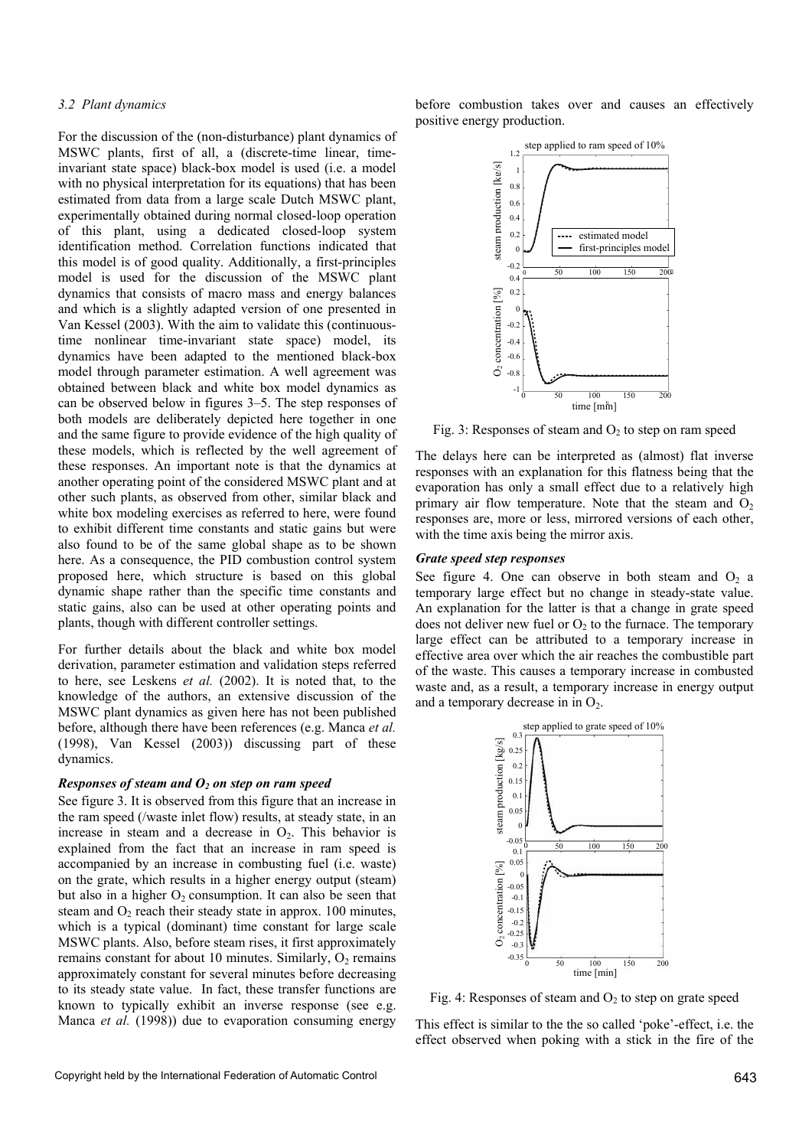#### *3.2 Plant dynamics*

For the discussion of the (non-disturbance) plant dynamics of MSWC plants, first of all, a (discrete-time linear, timeinvariant state space) black-box model is used (i.e. a model with no physical interpretation for its equations) that has been estimated from data from a large scale Dutch MSWC plant, experimentally obtained during normal closed-loop operation of this plant, using a dedicated closed-loop system identification method. Correlation functions indicated that this model is of good quality. Additionally, a first-principles model is used for the discussion of the MSWC plant dynamics that consists of macro mass and energy balances and which is a slightly adapted version of one presented in Van Kessel (2003). With the aim to validate this (continuoustime nonlinear time-invariant state space) model, its dynamics have been adapted to the mentioned black-box model through parameter estimation. A well agreement was obtained between black and white box model dynamics as can be observed below in figures 3–5. The step responses of both models are deliberately depicted here together in one and the same figure to provide evidence of the high quality of these models, which is reflected by the well agreement of these responses. An important note is that the dynamics at another operating point of the considered MSWC plant and at other such plants, as observed from other, similar black and white box modeling exercises as referred to here, were found to exhibit different time constants and static gains but were also found to be of the same global shape as to be shown here. As a consequence, the PID combustion control system proposed here, which structure is based on this global dynamic shape rather than the specific time constants and static gains, also can be used at other operating points and plants, though with different controller settings.

For further details about the black and white box model derivation, parameter estimation and validation steps referred to here, see Leskens *et al.* (2002). It is noted that, to the knowledge of the authors, an extensive discussion of the MSWC plant dynamics as given here has not been published before, although there have been references (e.g. Manca *et al.* (1998), Van Kessel (2003)) discussing part of these dynamics.

#### *Responses of steam and O<sub>2</sub> on step on ram speed*

See figure 3. It is observed from this figure that an increase in the ram speed (/waste inlet flow) results, at steady state, in an increase in steam and a decrease in  $O_2$ . This behavior is explained from the fact that an increase in ram speed is accompanied by an increase in combusting fuel (i.e. waste) on the grate, which results in a higher energy output (steam) but also in a higher  $O_2$  consumption. It can also be seen that steam and  $O_2$  reach their steady state in approx. 100 minutes, which is a typical (dominant) time constant for large scale MSWC plants. Also, before steam rises, it first approximately remains constant for about 10 minutes. Similarly,  $O_2$  remains approximately constant for several minutes before decreasing to its steady state value. In fact, these transfer functions are known to typically exhibit an inverse response (see e.g. Manca *et al.* (1998)) due to evaporation consuming energy before combustion takes over and causes an effectively positive energy production.



Fig. 3: Responses of steam and  $O_2$  to step on ram speed

The delays here can be interpreted as (almost) flat inverse responses with an explanation for this flatness being that the evaporation has only a small effect due to a relatively high primary air flow temperature. Note that the steam and  $O<sub>2</sub>$ responses are, more or less, mirrored versions of each other, with the time axis being the mirror axis.

#### *Grate speed step responses*

See figure 4. One can observe in both steam and  $O_2$  a temporary large effect but no change in steady-state value. An explanation for the latter is that a change in grate speed does not deliver new fuel or  $O<sub>2</sub>$  to the furnace. The temporary large effect can be attributed to a temporary increase in effective area over which the air reaches the combustible part of the waste. This causes a temporary increase in combusted waste and, as a result, a temporary increase in energy output and a temporary decrease in in  $O<sub>2</sub>$ .



Fig. 4: Responses of steam and  $O_2$  to step on grate speed

This effect is similar to the the so called 'poke'-effect, i.e. the effect observed when poking with a stick in the fire of the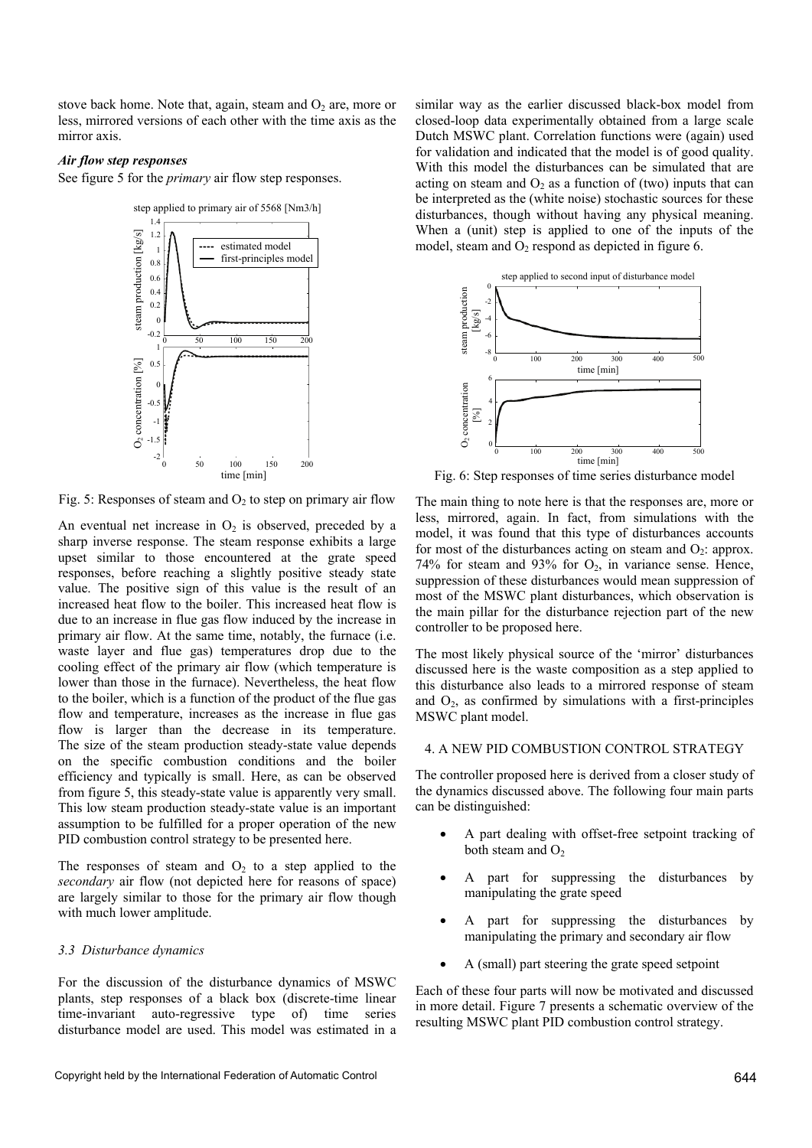stove back home. Note that, again, steam and  $O_2$  are, more or less, mirrored versions of each other with the time axis as the mirror axis.

# *Air flow step responses*

See figure 5 for the *primary* air flow step responses.



Fig. 5: Responses of steam and  $O_2$  to step on primary air flow

An eventual net increase in  $O<sub>2</sub>$  is observed, preceded by a sharp inverse response. The steam response exhibits a large upset similar to those encountered at the grate speed responses, before reaching a slightly positive steady state value. The positive sign of this value is the result of an increased heat flow to the boiler. This increased heat flow is due to an increase in flue gas flow induced by the increase in primary air flow. At the same time, notably, the furnace (i.e. waste layer and flue gas) temperatures drop due to the cooling effect of the primary air flow (which temperature is lower than those in the furnace). Nevertheless, the heat flow to the boiler, which is a function of the product of the flue gas flow and temperature, increases as the increase in flue gas flow is larger than the decrease in its temperature. The size of the steam production steady-state value depends on the specific combustion conditions and the boiler efficiency and typically is small. Here, as can be observed from figure 5, this steady-state value is apparently very small. This low steam production steady-state value is an important assumption to be fulfilled for a proper operation of the new PID combustion control strategy to be presented here.

The responses of steam and  $O_2$  to a step applied to the *secondary* air flow (not depicted here for reasons of space) are largely similar to those for the primary air flow though with much lower amplitude.

#### *3.3 Disturbance dynamics*

For the discussion of the disturbance dynamics of MSWC plants, step responses of a black box (discrete-time linear time-invariant auto-regressive type of) time series disturbance model are used. This model was estimated in a

similar way as the earlier discussed black-box model from closed-loop data experimentally obtained from a large scale Dutch MSWC plant. Correlation functions were (again) used for validation and indicated that the model is of good quality. With this model the disturbances can be simulated that are acting on steam and  $O_2$  as a function of (two) inputs that can be interpreted as the (white noise) stochastic sources for these disturbances, though without having any physical meaning. When a (unit) step is applied to one of the inputs of the model, steam and  $O_2$  respond as depicted in figure 6.



Fig. 6: Step responses of time series disturbance model

The main thing to note here is that the responses are, more or less, mirrored, again. In fact, from simulations with the model, it was found that this type of disturbances accounts for most of the disturbances acting on steam and  $O_2$ : approx. 74% for steam and 93% for  $O_2$ , in variance sense. Hence, suppression of these disturbances would mean suppression of most of the MSWC plant disturbances, which observation is the main pillar for the disturbance rejection part of the new controller to be proposed here.

The most likely physical source of the 'mirror' disturbances discussed here is the waste composition as a step applied to this disturbance also leads to a mirrored response of steam and  $O_2$ , as confirmed by simulations with a first-principles MSWC plant model.

#### 4. A NEW PID COMBUSTION CONTROL STRATEGY

The controller proposed here is derived from a closer study of the dynamics discussed above. The following four main parts can be distinguished:

- A part dealing with offset-free setpoint tracking of both steam and  $O<sub>2</sub>$
- A part for suppressing the disturbances by manipulating the grate speed
- A part for suppressing the disturbances by manipulating the primary and secondary air flow
- A (small) part steering the grate speed setpoint

Each of these four parts will now be motivated and discussed in more detail. Figure 7 presents a schematic overview of the resulting MSWC plant PID combustion control strategy.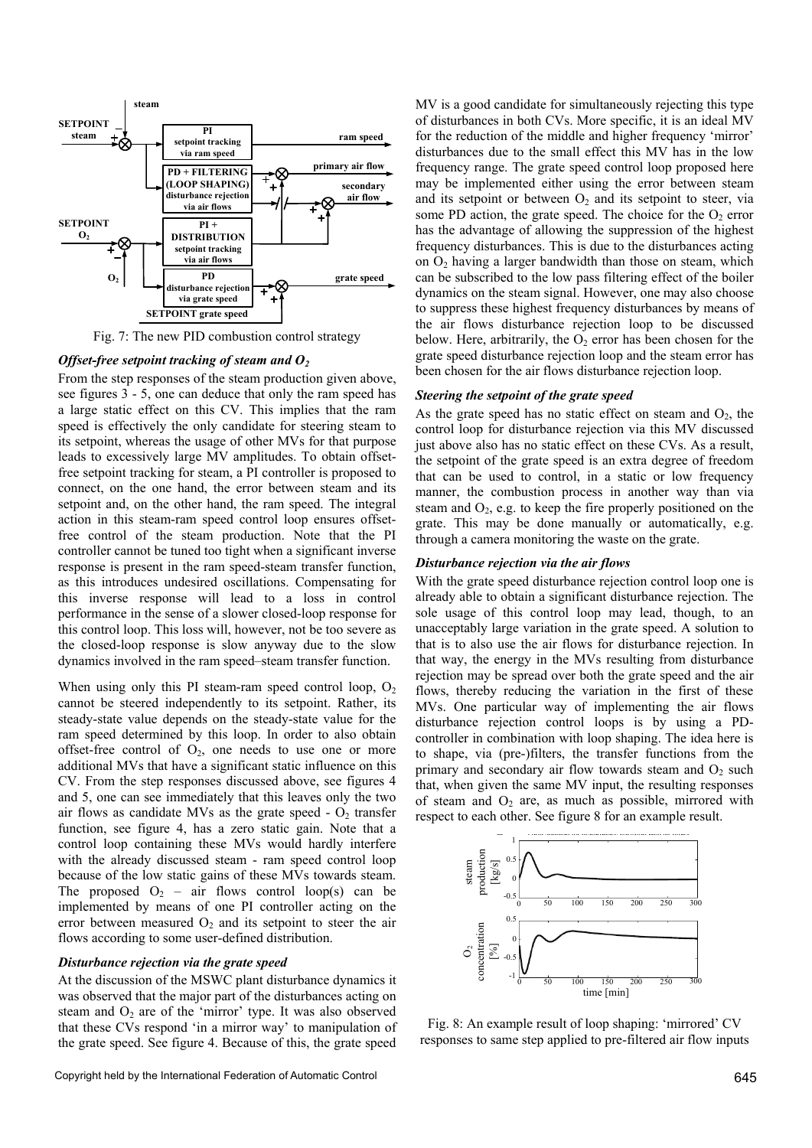

Fig. 7: The new PID combustion control strategy

#### *Offset-free setpoint tracking of steam and O2*

From the step responses of the steam production given above, see figures 3 - 5, one can deduce that only the ram speed has a large static effect on this CV. This implies that the ram speed is effectively the only candidate for steering steam to its setpoint, whereas the usage of other MVs for that purpose leads to excessively large MV amplitudes. To obtain offsetfree setpoint tracking for steam, a PI controller is proposed to connect, on the one hand, the error between steam and its setpoint and, on the other hand, the ram speed. The integral action in this steam-ram speed control loop ensures offsetfree control of the steam production. Note that the PI controller cannot be tuned too tight when a significant inverse response is present in the ram speed-steam transfer function, as this introduces undesired oscillations. Compensating for this inverse response will lead to a loss in control performance in the sense of a slower closed-loop response for this control loop. This loss will, however, not be too severe as the closed-loop response is slow anyway due to the slow dynamics involved in the ram speed–steam transfer function.

When using only this PI steam-ram speed control loop,  $O_2$ cannot be steered independently to its setpoint. Rather, its steady-state value depends on the steady-state value for the ram speed determined by this loop. In order to also obtain offset-free control of  $O_2$ , one needs to use one or more additional MVs that have a significant static influence on this CV. From the step responses discussed above, see figures 4 and 5, one can see immediately that this leaves only the two air flows as candidate MVs as the grate speed -  $O_2$  transfer function, see figure 4, has a zero static gain. Note that a control loop containing these MVs would hardly interfere with the already discussed steam - ram speed control loop because of the low static gains of these MVs towards steam. The proposed  $O_2$  – air flows control loop(s) can be implemented by means of one PI controller acting on the error between measured  $O_2$  and its setpoint to steer the air flows according to some user-defined distribution.

#### *Disturbance rejection via the grate speed*

At the discussion of the MSWC plant disturbance dynamics it was observed that the major part of the disturbances acting on steam and  $O_2$  are of the 'mirror' type. It was also observed that these CVs respond 'in a mirror way' to manipulation of the grate speed. See figure 4. Because of this, the grate speed MV is a good candidate for simultaneously rejecting this type of disturbances in both CVs. More specific, it is an ideal MV for the reduction of the middle and higher frequency 'mirror' disturbances due to the small effect this MV has in the low frequency range. The grate speed control loop proposed here may be implemented either using the error between steam and its setpoint or between  $O_2$  and its setpoint to steer, via some PD action, the grate speed. The choice for the  $O_2$  error has the advantage of allowing the suppression of the highest frequency disturbances. This is due to the disturbances acting on  $O_2$  having a larger bandwidth than those on steam, which can be subscribed to the low pass filtering effect of the boiler dynamics on the steam signal. However, one may also choose to suppress these highest frequency disturbances by means of the air flows disturbance rejection loop to be discussed below. Here, arbitrarily, the  $O<sub>2</sub>$  error has been chosen for the grate speed disturbance rejection loop and the steam error has been chosen for the air flows disturbance rejection loop.

#### *Steering the setpoint of the grate speed*

As the grate speed has no static effect on steam and  $O_2$ , the control loop for disturbance rejection via this MV discussed just above also has no static effect on these CVs. As a result, the setpoint of the grate speed is an extra degree of freedom that can be used to control, in a static or low frequency manner, the combustion process in another way than via steam and  $O_2$ , e.g. to keep the fire properly positioned on the grate. This may be done manually or automatically, e.g. through a camera monitoring the waste on the grate.

#### *Disturbance rejection via the air flows*

With the grate speed disturbance rejection control loop one is already able to obtain a significant disturbance rejection. The sole usage of this control loop may lead, though, to an unacceptably large variation in the grate speed. A solution to that is to also use the air flows for disturbance rejection. In that way, the energy in the MVs resulting from disturbance rejection may be spread over both the grate speed and the air flows, thereby reducing the variation in the first of these MVs. One particular way of implementing the air flows disturbance rejection control loops is by using a PDcontroller in combination with loop shaping. The idea here is to shape, via (pre-)filters, the transfer functions from the primary and secondary air flow towards steam and  $O<sub>2</sub>$  such that, when given the same MV input, the resulting responses of steam and  $O_2$  are, as much as possible, mirrored with respect to each other. See figure 8 for an example result.



Fig. 8: An example result of loop shaping: 'mirrored' CV responses to same step applied to pre-filtered air flow inputs